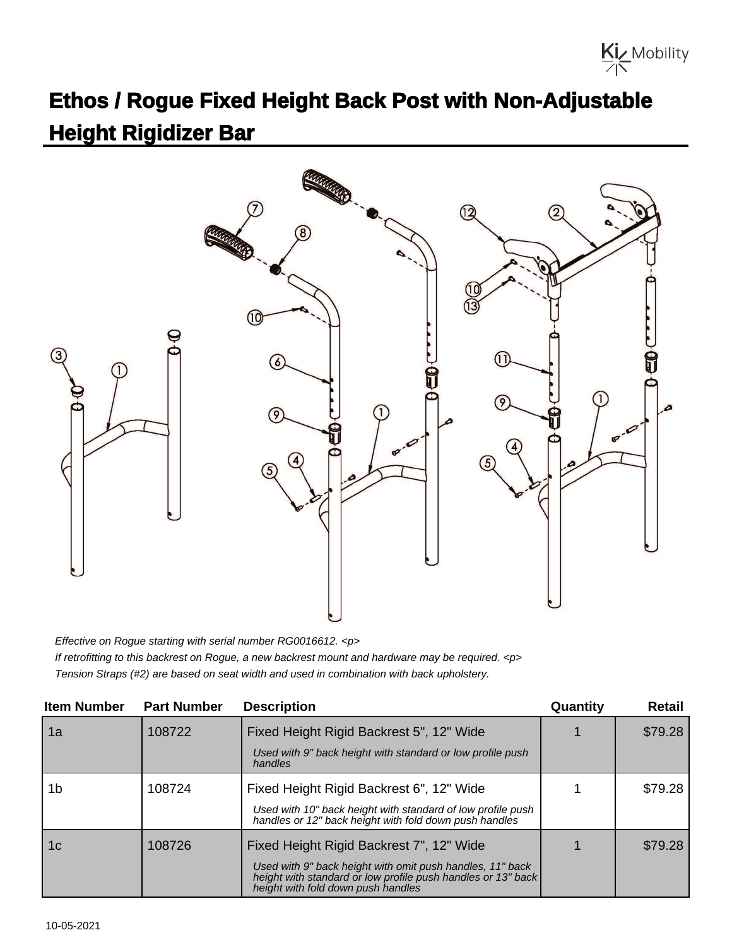

## **Ethos / Rogue Fixed Height Back Post with Non-Adjustable Height Rigidizer Bar**



Effective on Rogue starting with serial number RG0016612. <p> If retrofitting to this backrest on Rogue, a new backrest mount and hardware may be required. <p> Tension Straps (#2) are based on seat width and used in combination with back upholstery.

| <b>Item Number</b> | <b>Part Number</b> | <b>Description</b>                                                                                                                                              | Quantity | Retail  |
|--------------------|--------------------|-----------------------------------------------------------------------------------------------------------------------------------------------------------------|----------|---------|
| 1a                 | 108722             | Fixed Height Rigid Backrest 5", 12" Wide                                                                                                                        |          | \$79.28 |
|                    |                    | Used with 9" back height with standard or low profile push<br>handles                                                                                           |          |         |
| 1b                 | 108724             | Fixed Height Rigid Backrest 6", 12" Wide                                                                                                                        |          | \$79.28 |
|                    |                    | Used with 10" back height with standard of low profile push<br>handles or 12" back height with fold down push handles                                           |          |         |
| 1c                 | 108726             | Fixed Height Rigid Backrest 7", 12" Wide                                                                                                                        |          | \$79.28 |
|                    |                    | Used with 9" back height with omit push handles, 11" back<br>height with standard or low profile push handles or 13" back<br>height with fold down push handles |          |         |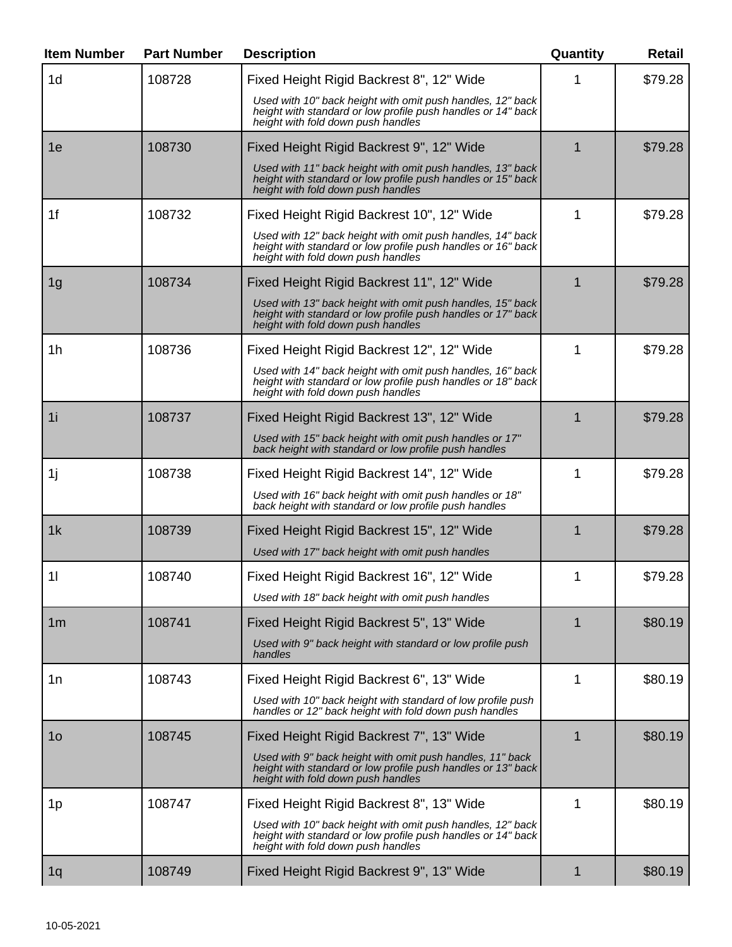| <b>Item Number</b> | <b>Part Number</b> | <b>Description</b>                                                                                                                                               | Quantity | <b>Retail</b> |
|--------------------|--------------------|------------------------------------------------------------------------------------------------------------------------------------------------------------------|----------|---------------|
| 1 <sub>d</sub>     | 108728             | Fixed Height Rigid Backrest 8", 12" Wide                                                                                                                         |          | \$79.28       |
|                    |                    | Used with 10" back height with omit push handles, 12" back<br>height with standard or low profile push handles or 14" back<br>height with fold down push handles |          |               |
| 1e                 | 108730             | Fixed Height Rigid Backrest 9", 12" Wide                                                                                                                         | 1        | \$79.28       |
|                    |                    | Used with 11" back height with omit push handles, 13" back<br>height with standard or low profile push handles or 15" back<br>height with fold down push handles |          |               |
| 1f                 | 108732             | Fixed Height Rigid Backrest 10", 12" Wide                                                                                                                        | 1        | \$79.28       |
|                    |                    | Used with 12" back height with omit push handles, 14" back<br>height with standard or low profile push handles or 16" back<br>height with fold down push handles |          |               |
| 1 <sub>g</sub>     | 108734             | Fixed Height Rigid Backrest 11", 12" Wide                                                                                                                        | 1        | \$79.28       |
|                    |                    | Used with 13" back height with omit push handles, 15" back<br>height with standard or low profile push handles or 17" back<br>height with fold down push handles |          |               |
| 1h                 | 108736             | Fixed Height Rigid Backrest 12", 12" Wide                                                                                                                        | 1        | \$79.28       |
|                    |                    | Used with 14" back height with omit push handles, 16" back<br>height with standard or low profile push handles or 18" back<br>height with fold down push handles |          |               |
| 1i                 | 108737             | Fixed Height Rigid Backrest 13", 12" Wide                                                                                                                        |          | \$79.28       |
|                    |                    | Used with 15" back height with omit push handles or 17"<br>back height with standard or low profile push handles                                                 |          |               |
| 1j                 | 108738             | Fixed Height Rigid Backrest 14", 12" Wide                                                                                                                        | 1        | \$79.28       |
|                    |                    | Used with 16" back height with omit push handles or 18"<br>back height with standard or low profile push handles                                                 |          |               |
| 1k                 | 108739             | Fixed Height Rigid Backrest 15", 12" Wide                                                                                                                        |          | \$79.28       |
|                    |                    | Used with 17" back height with omit push handles                                                                                                                 |          |               |
| 11                 | 108740             | Fixed Height Rigid Backrest 16", 12" Wide                                                                                                                        |          | \$79.28       |
|                    |                    | Used with 18" back height with omit push handles                                                                                                                 |          |               |
| 1 <sub>m</sub>     | 108741             | Fixed Height Rigid Backrest 5", 13" Wide<br>Used with 9" back height with standard or low profile push                                                           | 1        | \$80.19       |
|                    |                    | handles                                                                                                                                                          |          |               |
| 1n                 | 108743             | Fixed Height Rigid Backrest 6", 13" Wide<br>Used with 10" back height with standard of low profile push                                                          | 1        | \$80.19       |
|                    |                    | handles or 12" back height with fold down push handles                                                                                                           |          |               |
| 1 <sub>O</sub>     | 108745             | Fixed Height Rigid Backrest 7", 13" Wide                                                                                                                         | 1        | \$80.19       |
|                    |                    | Used with 9" back height with omit push handles, 11" back<br>height with standard or low profile push handles or 13" back<br>height with fold down push handles  |          |               |
| 1p                 | 108747             | Fixed Height Rigid Backrest 8", 13" Wide                                                                                                                         | 1        | \$80.19       |
|                    |                    | Used with 10" back height with omit push handles, 12" back<br>height with standard or low profile push handles or 14" back<br>height with fold down push handles |          |               |
| 1q                 | 108749             | Fixed Height Rigid Backrest 9", 13" Wide                                                                                                                         | 1        | \$80.19       |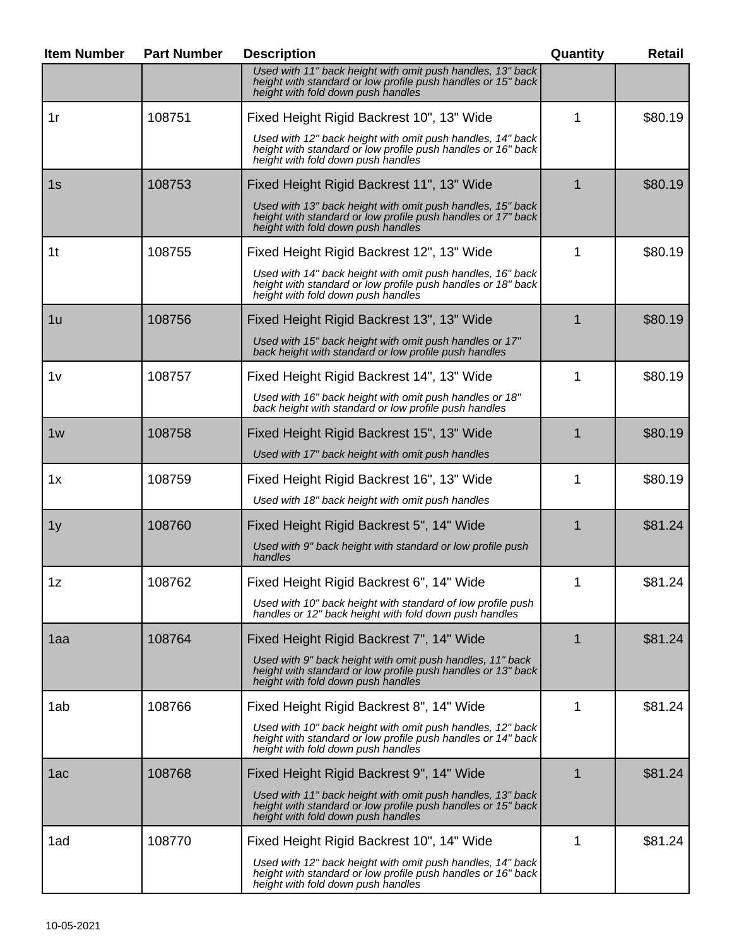| <b>Item Number</b> | <b>Part Number</b> | <b>Description</b>                                                                                                                                               | Quantity | <b>Retail</b> |
|--------------------|--------------------|------------------------------------------------------------------------------------------------------------------------------------------------------------------|----------|---------------|
|                    |                    | Used with 11" back height with omit push handles, 13" back<br>height with standard or low profile push handles or 15" back<br>height with fold down push handles |          |               |
| 1r                 | 108751             | Fixed Height Rigid Backrest 10", 13" Wide                                                                                                                        | 1        | \$80.19       |
|                    |                    | Used with 12" back height with omit push handles, 14" back<br>height with standard or low profile push handles or 16" back<br>height with fold down push handles |          |               |
| 1s                 | 108753             | Fixed Height Rigid Backrest 11", 13" Wide                                                                                                                        |          | \$80.19       |
|                    |                    | Used with 13" back height with omit push handles, 15" back<br>height with standard or low profile push handles or 17" back<br>height with fold down push handles |          |               |
| 1 <sub>t</sub>     | 108755             | Fixed Height Rigid Backrest 12", 13" Wide                                                                                                                        | 1        | \$80.19       |
|                    |                    | Used with 14" back height with omit push handles, 16" back<br>height with standard or low profile push handles or 18" back<br>height with fold down push handles |          |               |
| 1u                 | 108756             | Fixed Height Rigid Backrest 13", 13" Wide                                                                                                                        |          | \$80.19       |
|                    |                    | Used with 15" back height with omit push handles or 17"<br>back height with standard or low profile push handles                                                 |          |               |
| 1 <sub>V</sub>     | 108757             | Fixed Height Rigid Backrest 14", 13" Wide                                                                                                                        | 1        | \$80.19       |
|                    |                    | Used with 16" back height with omit push handles or 18"<br>back height with standard or low profile push handles                                                 |          |               |
| 1w                 | 108758             | Fixed Height Rigid Backrest 15", 13" Wide                                                                                                                        |          | \$80.19       |
|                    |                    | Used with 17" back height with omit push handles                                                                                                                 |          |               |
| 1x                 | 108759             | Fixed Height Rigid Backrest 16", 13" Wide                                                                                                                        | 1        | \$80.19       |
|                    |                    | Used with 18" back height with omit push handles                                                                                                                 |          |               |
| 1y                 | 108760             | Fixed Height Rigid Backrest 5", 14" Wide                                                                                                                         |          | \$81.24       |
|                    |                    | Used with 9" back height with standard or low profile push<br>handles                                                                                            |          |               |
| 1z                 | 108762             | Fixed Height Rigid Backrest 6", 14" Wide                                                                                                                         |          | \$81.24       |
|                    |                    | Used with 10" back height with standard of low profile push<br>handles or 12" back height with fold down push handles                                            |          |               |
| 1aa                | 108764             | Fixed Height Rigid Backrest 7", 14" Wide                                                                                                                         |          | \$81.24       |
|                    |                    | Used with 9" back height with omit push handles, 11" back<br>height with standard or low profile push handles or 13" back<br>height with fold down push handles  |          |               |
| 1ab                | 108766             | Fixed Height Rigid Backrest 8", 14" Wide                                                                                                                         | 1        | \$81.24       |
|                    |                    | Used with 10" back height with omit push handles, 12" back<br>height with standard or low profile push handles or 14" back<br>height with fold down push handles |          |               |
| 1ac                | 108768             | Fixed Height Rigid Backrest 9", 14" Wide                                                                                                                         | 1        | \$81.24       |
|                    |                    | Used with 11" back height with omit push handles, 13" back<br>height with standard or low profile push handles or 15" back<br>height with fold down push handles |          |               |
| 1ad                | 108770             | Fixed Height Rigid Backrest 10", 14" Wide                                                                                                                        | 1        | \$81.24       |
|                    |                    | Used with 12" back height with omit push handles, 14" back<br>height with standard or low profile push handles or 16" back<br>height with fold down push handles |          |               |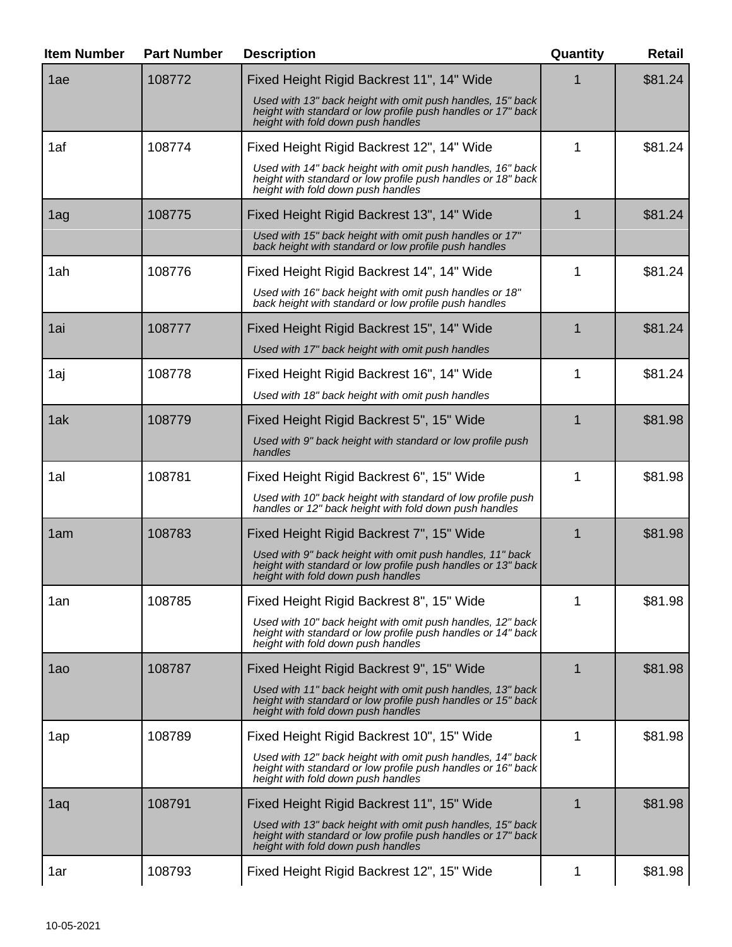| <b>Item Number</b> | <b>Part Number</b> | <b>Description</b>                                                                                                                                                                                            | Quantity | <b>Retail</b> |
|--------------------|--------------------|---------------------------------------------------------------------------------------------------------------------------------------------------------------------------------------------------------------|----------|---------------|
| 1ae                | 108772             | Fixed Height Rigid Backrest 11", 14" Wide<br>Used with 13" back height with omit push handles, 15" back<br>height with standard or low profile push handles or 17" back<br>height with fold down push handles |          | \$81.24       |
| 1af                | 108774             | Fixed Height Rigid Backrest 12", 14" Wide<br>Used with 14" back height with omit push handles, 16" back<br>height with standard or low profile push handles or 18" back<br>height with fold down push handles | 1        | \$81.24       |
| 1ag                | 108775             | Fixed Height Rigid Backrest 13", 14" Wide<br>Used with 15" back height with omit push handles or 17"<br>back height with standard or low profile push handles                                                 |          | \$81.24       |
| 1ah                | 108776             | Fixed Height Rigid Backrest 14", 14" Wide<br>Used with 16" back height with omit push handles or 18"<br>back height with standard or low profile push handles                                                 | 1        | \$81.24       |
| 1ai                | 108777             | Fixed Height Rigid Backrest 15", 14" Wide<br>Used with 17" back height with omit push handles                                                                                                                 |          | \$81.24       |
| 1aj                | 108778             | Fixed Height Rigid Backrest 16", 14" Wide<br>Used with 18" back height with omit push handles                                                                                                                 | 1        | \$81.24       |
| 1ak                | 108779             | Fixed Height Rigid Backrest 5", 15" Wide<br>Used with 9" back height with standard or low profile push<br>handles                                                                                             |          | \$81.98       |
| 1al                | 108781             | Fixed Height Rigid Backrest 6", 15" Wide<br>Used with 10" back height with standard of low profile push<br>handles or 12" back height with fold down push handles                                             | 1        | \$81.98       |
| 1am                | 108783             | Fixed Height Rigid Backrest 7", 15" Wide<br>Used with 9" back height with omit push handles, 11" back<br>height with standard or low profile push handles or 13" back<br>height with fold down push handles   | 1        | \$81.98       |
| 1an                | 108785             | Fixed Height Rigid Backrest 8", 15" Wide<br>Used with 10" back height with omit push handles, 12" back<br>height with standard or low profile push handles or 14" back<br>height with fold down push handles  | 1        | \$81.98       |
| 1a <sub>0</sub>    | 108787             | Fixed Height Rigid Backrest 9", 15" Wide<br>Used with 11" back height with omit push handles, 13" back<br>height with standard or low profile push handles or 15" back<br>height with fold down push handles  | 1        | \$81.98       |
| 1ap                | 108789             | Fixed Height Rigid Backrest 10", 15" Wide<br>Used with 12" back height with omit push handles, 14" back<br>height with standard or low profile push handles or 16" back<br>height with fold down push handles | 1        | \$81.98       |
| 1aq                | 108791             | Fixed Height Rigid Backrest 11", 15" Wide<br>Used with 13" back height with omit push handles, 15" back<br>height with standard or low profile push handles or 17" back<br>height with fold down push handles |          | \$81.98       |
| 1ar                | 108793             | Fixed Height Rigid Backrest 12", 15" Wide                                                                                                                                                                     | 1        | \$81.98       |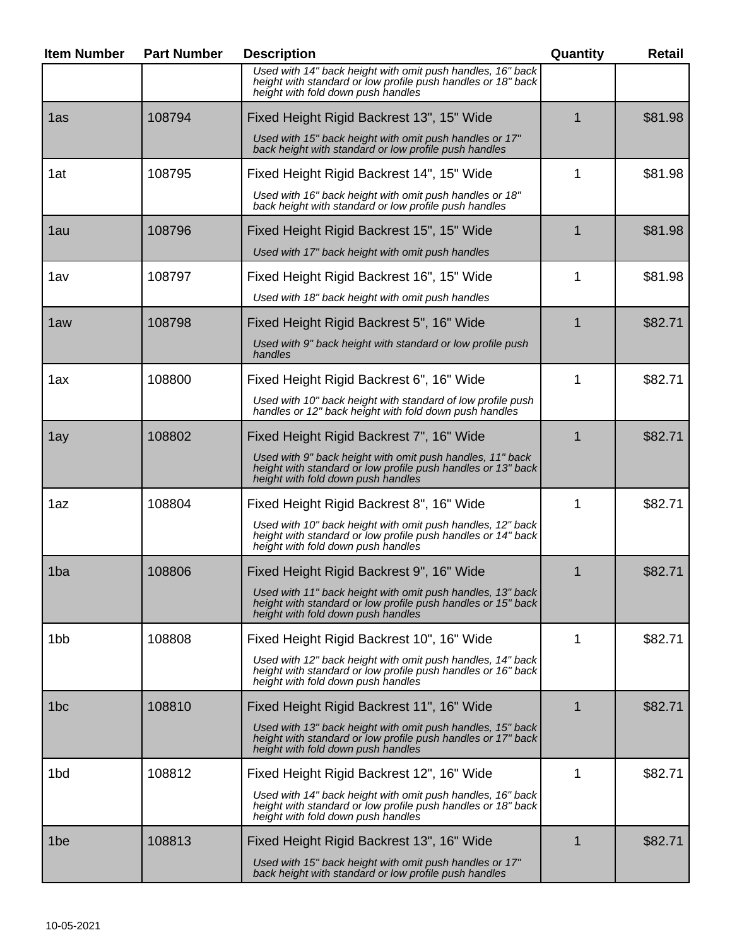| <b>Item Number</b> | <b>Part Number</b> | <b>Description</b>                                                                                                                                                                                            | Quantity | <b>Retail</b> |
|--------------------|--------------------|---------------------------------------------------------------------------------------------------------------------------------------------------------------------------------------------------------------|----------|---------------|
|                    |                    | Used with 14" back height with omit push handles, 16" back<br>height with standard or low profile push handles or 18" back<br>height with fold down push handles                                              |          |               |
| 1as                | 108794             | Fixed Height Rigid Backrest 13", 15" Wide<br>Used with 15" back height with omit push handles or 17"<br>back height with standard or low profile push handles                                                 |          | \$81.98       |
| 1at                | 108795             | Fixed Height Rigid Backrest 14", 15" Wide<br>Used with 16" back height with omit push handles or 18"<br>back height with standard or low profile push handles                                                 | 1        | \$81.98       |
| 1au                | 108796             | Fixed Height Rigid Backrest 15", 15" Wide<br>Used with 17" back height with omit push handles                                                                                                                 |          | \$81.98       |
| 1av                | 108797             | Fixed Height Rigid Backrest 16", 15" Wide<br>Used with 18" back height with omit push handles                                                                                                                 | 1        | \$81.98       |
| 1aw                | 108798             | Fixed Height Rigid Backrest 5", 16" Wide<br>Used with 9" back height with standard or low profile push<br>handles                                                                                             | 1        | \$82.71       |
| 1ax                | 108800             | Fixed Height Rigid Backrest 6", 16" Wide<br>Used with 10" back height with standard of low profile push<br>handles or 12" back height with fold down push handles                                             | 1        | \$82.71       |
| 1ay                | 108802             | Fixed Height Rigid Backrest 7", 16" Wide<br>Used with 9" back height with omit push handles, 11" back<br>height with standard or low profile push handles or 13" back<br>height with fold down push handles   | 1        | \$82.71       |
| 1az                | 108804             | Fixed Height Rigid Backrest 8", 16" Wide<br>Used with 10" back height with omit push handles, 12" back<br>height with standard or low profile push handles or 14" back<br>height with fold down push handles  | 1        | \$82.71       |
| 1 <sub>ba</sub>    | 108806             | Fixed Height Rigid Backrest 9", 16" Wide<br>Used with 11" back height with omit push handles, 13" back<br>height with standard or low profile push handles or 15" back<br>height with fold down push handles  |          | \$82.71       |
| 1 <sub>b</sub> b   | 108808             | Fixed Height Rigid Backrest 10", 16" Wide<br>Used with 12" back height with omit push handles, 14" back<br>height with standard or low profile push handles or 16" back<br>height with fold down push handles | 1        | \$82.71       |
| 1bc                | 108810             | Fixed Height Rigid Backrest 11", 16" Wide<br>Used with 13" back height with omit push handles, 15" back<br>height with standard or low profile push handles or 17" back<br>height with fold down push handles | 1        | \$82.71       |
| 1 <sub>bd</sub>    | 108812             | Fixed Height Rigid Backrest 12", 16" Wide<br>Used with 14" back height with omit push handles, 16" back<br>height with standard or low profile push handles or 18" back<br>height with fold down push handles | 1        | \$82.71       |
| 1be                | 108813             | Fixed Height Rigid Backrest 13", 16" Wide<br>Used with 15" back height with omit push handles or 17"<br>back height with standard or low profile push handles                                                 | 1        | \$82.71       |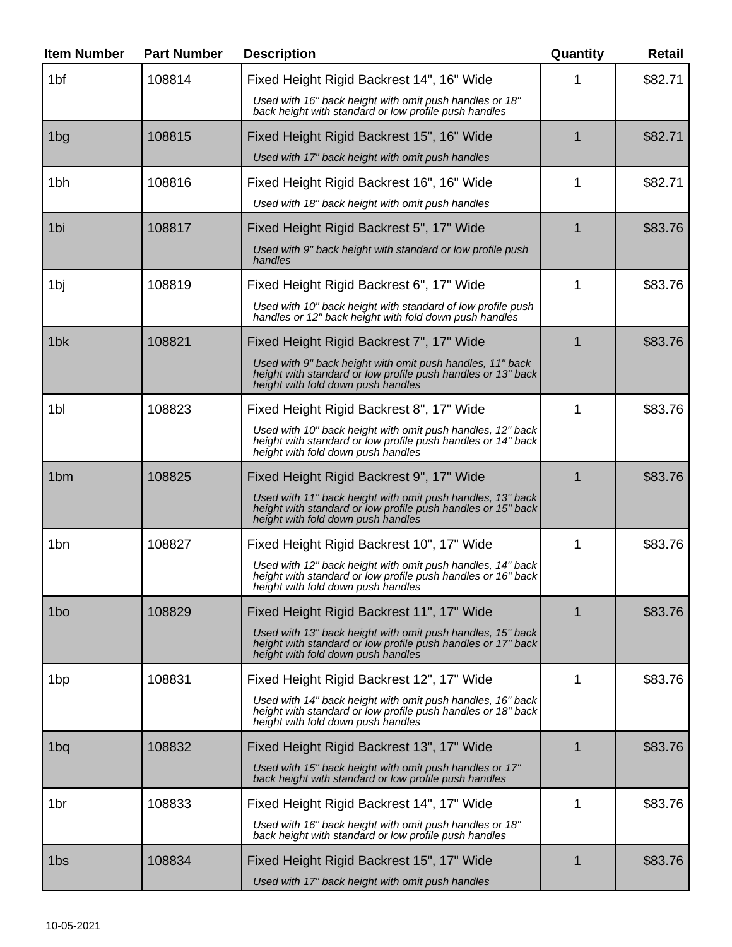| <b>Item Number</b> | <b>Part Number</b> | <b>Description</b>                                                                                                                                               | Quantity | <b>Retail</b> |
|--------------------|--------------------|------------------------------------------------------------------------------------------------------------------------------------------------------------------|----------|---------------|
| 1bf                | 108814             | Fixed Height Rigid Backrest 14", 16" Wide                                                                                                                        |          | \$82.71       |
|                    |                    | Used with 16" back height with omit push handles or 18"<br>back height with standard or low profile push handles                                                 |          |               |
| 1bg                | 108815             | Fixed Height Rigid Backrest 15", 16" Wide                                                                                                                        | 1        | \$82.71       |
|                    |                    | Used with 17" back height with omit push handles                                                                                                                 |          |               |
| 1 <sub>bh</sub>    | 108816             | Fixed Height Rigid Backrest 16", 16" Wide                                                                                                                        | 1        | \$82.71       |
|                    |                    | Used with 18" back height with omit push handles                                                                                                                 |          |               |
| 1bi                | 108817             | Fixed Height Rigid Backrest 5", 17" Wide                                                                                                                         | 1        | \$83.76       |
|                    |                    | Used with 9" back height with standard or low profile push<br>handles                                                                                            |          |               |
| 1bj                | 108819             | Fixed Height Rigid Backrest 6", 17" Wide                                                                                                                         | 1        | \$83.76       |
|                    |                    | Used with 10" back height with standard of low profile push<br>handles or 12" back height with fold down push handles                                            |          |               |
| 1 <sub>bk</sub>    | 108821             | Fixed Height Rigid Backrest 7", 17" Wide                                                                                                                         | 1        | \$83.76       |
|                    |                    | Used with 9" back height with omit push handles, 11" back<br>height with standard or low profile push handles or 13" back<br>height with fold down push handles  |          |               |
| 1bl                | 108823             | Fixed Height Rigid Backrest 8", 17" Wide                                                                                                                         | 1        | \$83.76       |
|                    |                    | Used with 10" back height with omit push handles, 12" back<br>height with standard or low profile push handles or 14" back<br>height with fold down push handles |          |               |
| 1 <sub>bm</sub>    | 108825             | Fixed Height Rigid Backrest 9", 17" Wide                                                                                                                         | 1        | \$83.76       |
|                    |                    | Used with 11" back height with omit push handles, 13" back<br>height with standard or low profile push handles or 15" back<br>height with fold down push handles |          |               |
| 1 <sub>bn</sub>    | 108827             | Fixed Height Rigid Backrest 10", 17" Wide                                                                                                                        | 1        | \$83.76       |
|                    |                    | Used with 12" back height with omit push handles, 14" back<br>height with standard or low profile push handles or 16" back<br>height with fold down push handles |          |               |
| 1 <sub>bo</sub>    | 108829             | Fixed Height Rigid Backrest 11", 17" Wide                                                                                                                        | 1        | \$83.76       |
|                    |                    | Used with 13" back height with omit push handles, 15" back<br>height with standard or low profile push handles or 17" back<br>height with fold down push handles |          |               |
| 1 <sub>bp</sub>    | 108831             | Fixed Height Rigid Backrest 12", 17" Wide                                                                                                                        | 1        | \$83.76       |
|                    |                    | Used with 14" back height with omit push handles, 16" back<br>height with standard or low profile push handles or 18" back<br>height with fold down push handles |          |               |
| 1bq                | 108832             | Fixed Height Rigid Backrest 13", 17" Wide                                                                                                                        | 1        | \$83.76       |
|                    |                    | Used with 15" back height with omit push handles or 17"<br>back height with standard or low profile push handles                                                 |          |               |
| 1 <sub>br</sub>    | 108833             | Fixed Height Rigid Backrest 14", 17" Wide                                                                                                                        | 1        | \$83.76       |
|                    |                    | Used with 16" back height with omit push handles or 18"<br>back height with standard or low profile push handles                                                 |          |               |
| 1bs                | 108834             | Fixed Height Rigid Backrest 15", 17" Wide                                                                                                                        | 1        | \$83.76       |
|                    |                    | Used with 17" back height with omit push handles                                                                                                                 |          |               |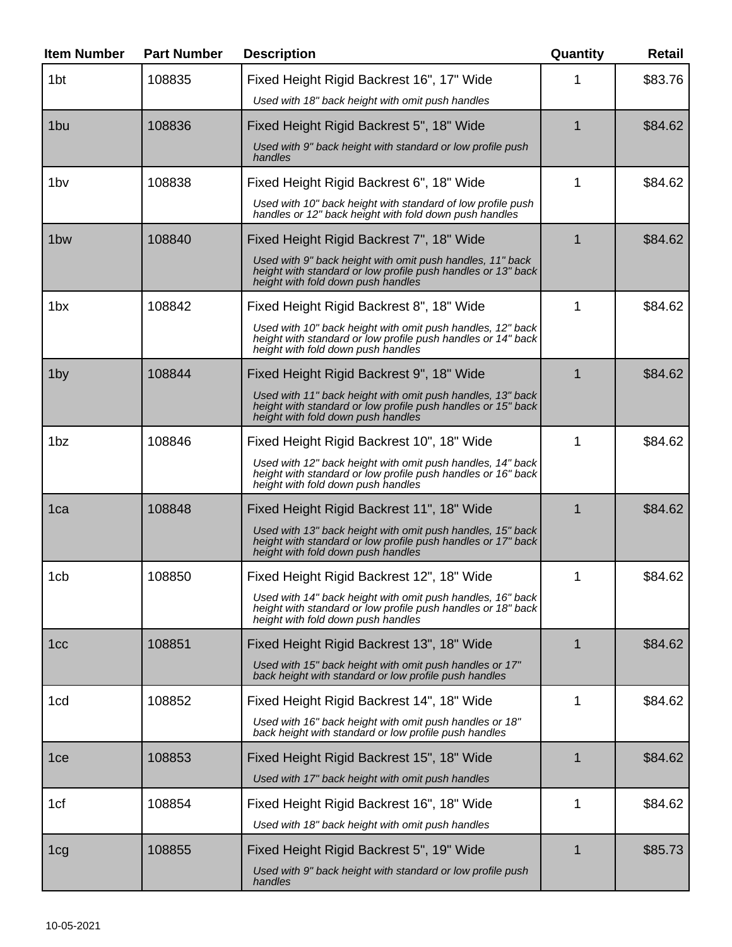| <b>Item Number</b> | <b>Part Number</b> | <b>Description</b>                                                                                                                                               | Quantity | <b>Retail</b> |
|--------------------|--------------------|------------------------------------------------------------------------------------------------------------------------------------------------------------------|----------|---------------|
| 1 <sub>bt</sub>    | 108835             | Fixed Height Rigid Backrest 16", 17" Wide<br>Used with 18" back height with omit push handles                                                                    |          | \$83.76       |
| 1 <sub>bu</sub>    | 108836             | Fixed Height Rigid Backrest 5", 18" Wide                                                                                                                         | 1        | \$84.62       |
|                    |                    | Used with 9" back height with standard or low profile push<br>handles                                                                                            |          |               |
| 1 <sub>bv</sub>    | 108838             | Fixed Height Rigid Backrest 6", 18" Wide                                                                                                                         | 1        | \$84.62       |
|                    |                    | Used with 10" back height with standard of low profile push<br>handles or 12" back height with fold down push handles                                            |          |               |
| 1 <sub>bw</sub>    | 108840             | Fixed Height Rigid Backrest 7", 18" Wide                                                                                                                         | 1        | \$84.62       |
|                    |                    | Used with 9" back height with omit push handles, 11" back<br>height with standard or low profile push handles or 13" back<br>height with fold down push handles  |          |               |
| 1 <sub>bx</sub>    | 108842             | Fixed Height Rigid Backrest 8", 18" Wide                                                                                                                         | 1        | \$84.62       |
|                    |                    | Used with 10" back height with omit push handles, 12" back<br>height with standard or low profile push handles or 14" back<br>height with fold down push handles |          |               |
| 1by                | 108844             | Fixed Height Rigid Backrest 9", 18" Wide                                                                                                                         | 1        | \$84.62       |
|                    |                    | Used with 11" back height with omit push handles, 13" back<br>height with standard or low profile push handles or 15" back<br>height with fold down push handles |          |               |
| 1 <sub>bz</sub>    | 108846             | Fixed Height Rigid Backrest 10", 18" Wide                                                                                                                        | 1        | \$84.62       |
|                    |                    | Used with 12" back height with omit push handles, 14" back<br>height with standard or low profile push handles or 16" back<br>height with fold down push handles |          |               |
| 1ca                | 108848             | Fixed Height Rigid Backrest 11", 18" Wide                                                                                                                        |          | \$84.62       |
|                    |                    | Used with 13" back height with omit push handles, 15" back<br>height with standard or low profile push handles or 17" back<br>height with fold down push handles |          |               |
| 1cb                | 108850             | Fixed Height Rigid Backrest 12", 18" Wide                                                                                                                        | 1        | \$84.62       |
|                    |                    | Used with 14" back height with omit push handles, 16" back<br>height with standard or low profile push handles or 18" back<br>height with fold down push handles |          |               |
| 1 <sub>cc</sub>    | 108851             | Fixed Height Rigid Backrest 13", 18" Wide                                                                                                                        | 1        | \$84.62       |
|                    |                    | Used with 15" back height with omit push handles or 17"<br>back height with standard or low profile push handles                                                 |          |               |
| 1cd                | 108852             | Fixed Height Rigid Backrest 14", 18" Wide                                                                                                                        | 1        | \$84.62       |
|                    |                    | Used with 16" back height with omit push handles or 18"<br>back height with standard or low profile push handles                                                 |          |               |
| 1 <sub>ce</sub>    | 108853             | Fixed Height Rigid Backrest 15", 18" Wide                                                                                                                        | 1        | \$84.62       |
|                    |                    | Used with 17" back height with omit push handles                                                                                                                 |          |               |
| 1cf                | 108854             | Fixed Height Rigid Backrest 16", 18" Wide                                                                                                                        | 1        | \$84.62       |
|                    |                    | Used with 18" back height with omit push handles                                                                                                                 |          |               |
| 1 <sub>cg</sub>    | 108855             | Fixed Height Rigid Backrest 5", 19" Wide                                                                                                                         | 1        | \$85.73       |
|                    |                    | Used with 9" back height with standard or low profile push<br>handles                                                                                            |          |               |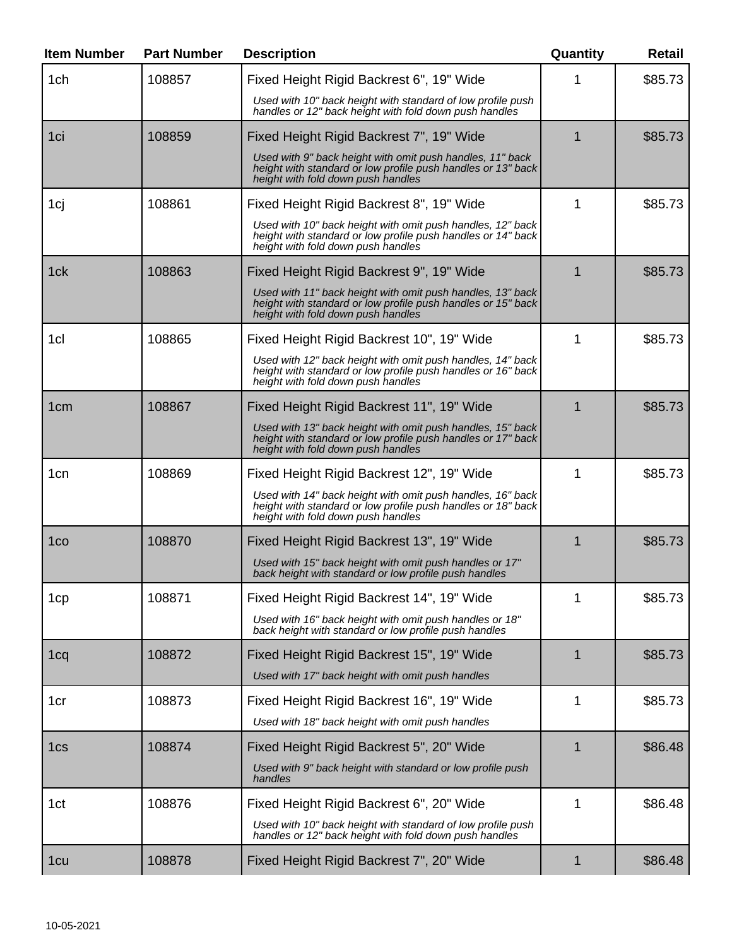| <b>Item Number</b> | <b>Part Number</b> | <b>Description</b>                                                                                                                                               | Quantity    | <b>Retail</b> |
|--------------------|--------------------|------------------------------------------------------------------------------------------------------------------------------------------------------------------|-------------|---------------|
| 1ch                | 108857             | Fixed Height Rigid Backrest 6", 19" Wide                                                                                                                         |             | \$85.73       |
|                    |                    | Used with 10" back height with standard of low profile push<br>handles or 12" back height with fold down push handles                                            |             |               |
| 1ci                | 108859             | Fixed Height Rigid Backrest 7", 19" Wide                                                                                                                         | 1           | \$85.73       |
|                    |                    | Used with 9" back height with omit push handles, 11" back<br>height with standard or low profile push handles or 13" back<br>height with fold down push handles  |             |               |
| 1cj                | 108861             | Fixed Height Rigid Backrest 8", 19" Wide                                                                                                                         | 1           | \$85.73       |
|                    |                    | Used with 10" back height with omit push handles, 12" back<br>height with standard or low profile push handles or 14" back<br>height with fold down push handles |             |               |
| 1ck                | 108863             | Fixed Height Rigid Backrest 9", 19" Wide                                                                                                                         | 1           | \$85.73       |
|                    |                    | Used with 11" back height with omit push handles, 13" back<br>height with standard or low profile push handles or 15" back<br>height with fold down push handles |             |               |
| 1cl                | 108865             | Fixed Height Rigid Backrest 10", 19" Wide                                                                                                                        | 1           | \$85.73       |
|                    |                    | Used with 12" back height with omit push handles, 14" back<br>height with standard or low profile push handles or 16" back<br>height with fold down push handles |             |               |
| 1 <sub>cm</sub>    | 108867             | Fixed Height Rigid Backrest 11", 19" Wide                                                                                                                        | 1           | \$85.73       |
|                    |                    | Used with 13" back height with omit push handles, 15" back<br>height with standard or low profile push handles or 17" back<br>height with fold down push handles |             |               |
| 1cn                | 108869             | Fixed Height Rigid Backrest 12", 19" Wide                                                                                                                        | 1           | \$85.73       |
|                    |                    | Used with 14" back height with omit push handles, 16" back<br>height with standard or low profile push handles or 18" back<br>height with fold down push handles |             |               |
| 1co                | 108870             | Fixed Height Rigid Backrest 13", 19" Wide                                                                                                                        | 1           | \$85.73       |
|                    |                    | Used with 15" back height with omit push handles or 17"<br>back height with standard or low profile push handles                                                 |             |               |
| 1cp                | 108871             | Fixed Height Rigid Backrest 14", 19" Wide                                                                                                                        | 1           | \$85.73       |
|                    |                    | Used with 16" back height with omit push handles or 18"<br>back height with standard or low profile push handles                                                 |             |               |
| 1 <sub>cq</sub>    | 108872             | Fixed Height Rigid Backrest 15", 19" Wide                                                                                                                        | 1           | \$85.73       |
|                    |                    | Used with 17" back height with omit push handles                                                                                                                 |             |               |
| 1cr                | 108873             | Fixed Height Rigid Backrest 16", 19" Wide                                                                                                                        | 1           | \$85.73       |
|                    |                    | Used with 18" back height with omit push handles                                                                                                                 |             |               |
| 1cs                | 108874             | Fixed Height Rigid Backrest 5", 20" Wide                                                                                                                         | $\mathbf 1$ | \$86.48       |
|                    |                    | Used with 9" back height with standard or low profile push<br>handles                                                                                            |             |               |
| 1ct                | 108876             | Fixed Height Rigid Backrest 6", 20" Wide                                                                                                                         | 1           | \$86.48       |
|                    |                    | Used with 10" back height with standard of low profile push<br>handles or 12" back height with fold down push handles                                            |             |               |
| 1 <sub>cu</sub>    | 108878             | Fixed Height Rigid Backrest 7", 20" Wide                                                                                                                         | 1           | \$86.48       |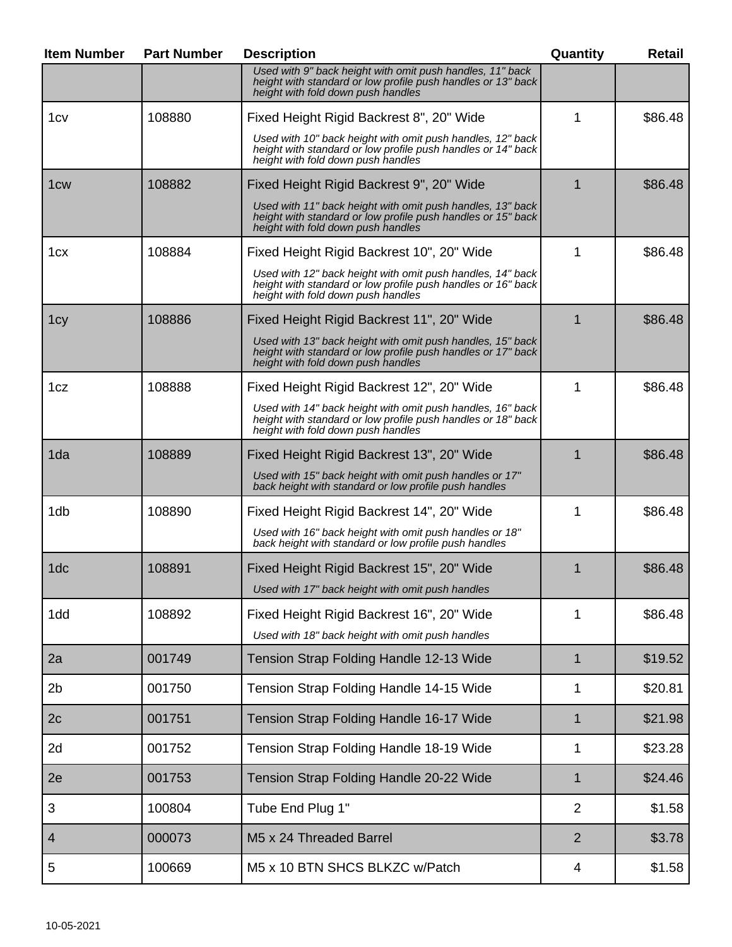| <b>Item Number</b> | <b>Part Number</b> | <b>Description</b>                                                                                                                                               | Quantity       | <b>Retail</b> |
|--------------------|--------------------|------------------------------------------------------------------------------------------------------------------------------------------------------------------|----------------|---------------|
|                    |                    | Used with 9" back height with omit push handles, 11" back<br>height with standard or low profile push handles or 13" back<br>height with fold down push handles  |                |               |
| 1cv                | 108880             | Fixed Height Rigid Backrest 8", 20" Wide                                                                                                                         | 1              | \$86.48       |
|                    |                    | Used with 10" back height with omit push handles, 12" back<br>height with standard or low profile push handles or 14" back<br>height with fold down push handles |                |               |
| 1 <sub>cw</sub>    | 108882             | Fixed Height Rigid Backrest 9", 20" Wide                                                                                                                         |                | \$86.48       |
|                    |                    | Used with 11" back height with omit push handles, 13" back<br>height with standard or low profile push handles or 15" back<br>height with fold down push handles |                |               |
| 1 <sub>cx</sub>    | 108884             | Fixed Height Rigid Backrest 10", 20" Wide                                                                                                                        | 1              | \$86.48       |
|                    |                    | Used with 12" back height with omit push handles, 14" back<br>height with standard or low profile push handles or 16" back<br>height with fold down push handles |                |               |
| 1 <sub>cy</sub>    | 108886             | Fixed Height Rigid Backrest 11", 20" Wide                                                                                                                        |                | \$86.48       |
|                    |                    | Used with 13" back height with omit push handles, 15" back<br>height with standard or low profile push handles or 17" back<br>height with fold down push handles |                |               |
| 1cz                | 108888             | Fixed Height Rigid Backrest 12", 20" Wide                                                                                                                        | 1              | \$86.48       |
|                    |                    | Used with 14" back height with omit push handles, 16" back<br>height with standard or low profile push handles or 18" back<br>height with fold down push handles |                |               |
| 1da                | 108889             | Fixed Height Rigid Backrest 13", 20" Wide                                                                                                                        |                | \$86.48       |
|                    |                    | Used with 15" back height with omit push handles or 17"<br>back height with standard or low profile push handles                                                 |                |               |
| 1db                | 108890             | Fixed Height Rigid Backrest 14", 20" Wide                                                                                                                        | 1              | \$86.48       |
|                    |                    | Used with 16" back height with omit push handles or 18"<br>back height with standard or low profile push handles                                                 |                |               |
| 1dc                | 108891             | Fixed Height Rigid Backrest 15", 20" Wide                                                                                                                        | 1              | \$86.48       |
|                    |                    | Used with 17" back height with omit push handles                                                                                                                 |                |               |
| 1dd                | 108892             | Fixed Height Rigid Backrest 16", 20" Wide<br>Used with 18" back height with omit push handles                                                                    | 1              | \$86.48       |
| 2a                 | 001749             | Tension Strap Folding Handle 12-13 Wide                                                                                                                          | $\mathbf 1$    | \$19.52       |
| 2 <sub>b</sub>     | 001750             | Tension Strap Folding Handle 14-15 Wide                                                                                                                          | 1              | \$20.81       |
| 2c                 | 001751             | Tension Strap Folding Handle 16-17 Wide                                                                                                                          | $\mathbf 1$    | \$21.98       |
| 2d                 | 001752             | Tension Strap Folding Handle 18-19 Wide                                                                                                                          | $\mathbf 1$    | \$23.28       |
| 2e                 | 001753             | Tension Strap Folding Handle 20-22 Wide                                                                                                                          | 1              | \$24.46       |
| 3                  | 100804             | Tube End Plug 1"                                                                                                                                                 | $\overline{2}$ | \$1.58        |
| $\overline{4}$     | 000073             | M5 x 24 Threaded Barrel                                                                                                                                          | $\overline{2}$ | \$3.78        |
| 5                  | 100669             | M5 x 10 BTN SHCS BLKZC w/Patch                                                                                                                                   | 4              | \$1.58        |